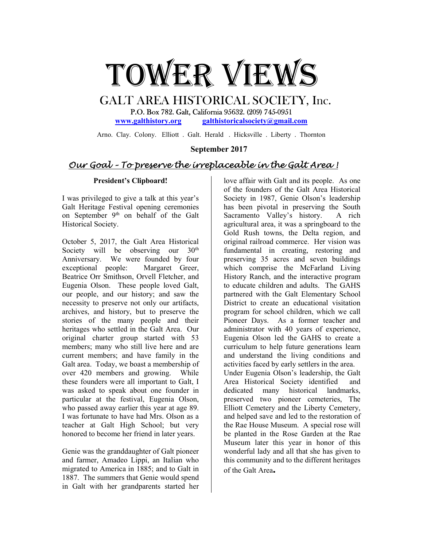

# GALT AREA HISTORICAL SOCIETY, Inc. P.O. Box 782. Galt, California 95632. (209) 745-0951

www.galthistory.org galthistoricalsociety@gmail.com

Arno. Clay. Colony. Elliott . Galt. Herald . Hicksville . Liberty . Thornton

## September 2017

## Our Goal – To preserve the irreplaceable in the Galt Area !

#### President's Clipboard!

I was privileged to give a talk at this year's Galt Heritage Festival opening ceremonies on September 9<sup>th</sup> on behalf of the Galt Historical Society.

October 5, 2017, the Galt Area Historical Society will be observing our  $30<sup>th</sup>$ Anniversary. We were founded by four exceptional people: Margaret Greer, Beatrice Orr Smithson, Orvell Fletcher, and Eugenia Olson. These people loved Galt, our people, and our history; and saw the necessity to preserve not only our artifacts, archives, and history, but to preserve the stories of the many people and their heritages who settled in the Galt Area. Our original charter group started with 53 members; many who still live here and are current members; and have family in the Galt area. Today, we boast a membership of over 420 members and growing. While these founders were all important to Galt, I was asked to speak about one founder in particular at the festival, Eugenia Olson, who passed away earlier this year at age 89. I was fortunate to have had Mrs. Olson as a teacher at Galt High School; but very honored to become her friend in later years.

Genie was the granddaughter of Galt pioneer and farmer, Amadeo Lippi, an Italian who migrated to America in 1885; and to Galt in 1887. The summers that Genie would spend in Galt with her grandparents started her

love affair with Galt and its people. As one of the founders of the Galt Area Historical Society in 1987, Genie Olson's leadership has been pivotal in preserving the South Sacramento Valley's history. A rich agricultural area, it was a springboard to the Gold Rush towns, the Delta region, and original railroad commerce. Her vision was fundamental in creating, restoring and preserving 35 acres and seven buildings which comprise the McFarland Living History Ranch, and the interactive program to educate children and adults. The GAHS partnered with the Galt Elementary School District to create an educational visitation program for school children, which we call Pioneer Days. As a former teacher and administrator with 40 years of experience, Eugenia Olson led the GAHS to create a curriculum to help future generations learn and understand the living conditions and activities faced by early settlers in the area. Under Eugenia Olson's leadership, the Galt Area Historical Society identified and dedicated many historical landmarks, preserved two pioneer cemeteries, The Elliott Cemetery and the Liberty Cemetery, and helped save and led to the restoration of the Rae House Museum. A special rose will be planted in the Rose Garden at the Rae Museum later this year in honor of this wonderful lady and all that she has given to this community and to the different heritages of the Galt Area.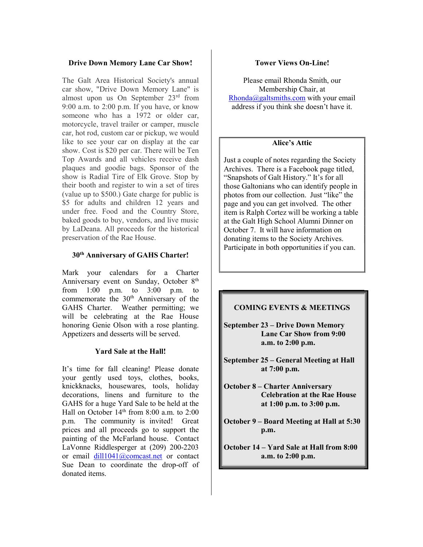## Drive Down Memory Lane Car Show!

The Galt Area Historical Society's annual car show, "Drive Down Memory Lane" is almost upon us On September 23rd from 9:00 a.m. to 2:00 p.m. If you have, or know someone who has a 1972 or older car, motorcycle, travel trailer or camper, muscle car, hot rod, custom car or pickup, we would like to see your car on display at the car show. Cost is \$20 per car. There will be Ten Top Awards and all vehicles receive dash plaques and goodie bags. Sponsor of the show is Radial Tire of Elk Grove. Stop by their booth and register to win a set of tires (value up to \$500.) Gate charge for public is \$5 for adults and children 12 years and under free. Food and the Country Store, baked goods to buy, vendors, and live music by LaDeana. All proceeds for the historical preservation of the Rae House.

## 30<sup>th</sup> Anniversary of GAHS Charter!

Mark your calendars for a Charter Anniversary event on Sunday, October 8<sup>th</sup> from 1:00 p.m. to 3:00 p.m. to commemorate the 30<sup>th</sup> Anniversary of the GAHS Charter. Weather permitting; we will be celebrating at the Rae House honoring Genie Olson with a rose planting. Appetizers and desserts will be served.

## Yard Sale at the Hall!

It's time for fall cleaning! Please donate your gently used toys, clothes, books, knickknacks, housewares, tools, holiday decorations, linens and furniture to the GAHS for a huge Yard Sale to be held at the Hall on October  $14<sup>th</sup>$  from 8:00 a.m. to 2:00 p.m. The community is invited! Great prices and all proceeds go to support the painting of the McFarland house. Contact LaVonne Riddlesperger at (209) 200-2203 or email dill1041@comcast.net or contact Sue Dean to coordinate the drop-off of donated items.

## Tower Views On-Line!

Please email Rhonda Smith, our Membership Chair, at  $Rhonda@galtsmiths.com$  with your email address if you think she doesn't have it.

## Alice's Attic

Just a couple of notes regarding the Society Archives. There is a Facebook page titled, "Snapshots of Galt History." It's for all those Galtonians who can identify people in photos from our collection. Just "like" the page and you can get involved. The other item is Ralph Cortez will be working a table at the Galt High School Alumni Dinner on October 7. It will have information on donating items to the Society Archives. Participate in both opportunities if you can.

## COMING EVENTS & MEETINGS

- September 23 Drive Down Memory Lane Car Show from 9:00 a.m. to 2:00 p.m.
- September 25 General Meeting at Hall at 7:00 p.m.
- October 8 Charter Anniversary Celebration at the Rae House at 1:00 p.m. to 3:00 p.m.
- October 9 Board Meeting at Hall at 5:30 p.m.
- October 14 Yard Sale at Hall from 8:00 a.m. to 2:00 p.m.